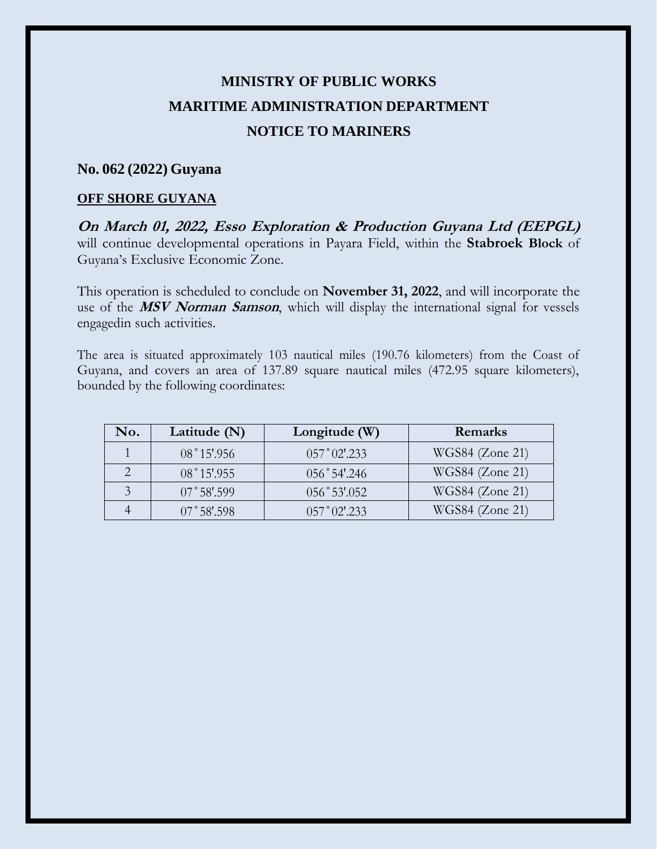## **MINISTRY OF PUBLIC WORKS MARITIME ADMINISTRATION DEPARTMENT NOTICE TO MARINERS**

## **No. 062 (2022) Guyana**

## **OFF SHORE GUYANA**

**On March 01, 2022, Esso Exploration & Production Guyana Ltd (EEPGL)** will continue developmental operations in Payara Field, within the **Stabroek Block** of Guyana's Exclusive Economic Zone.

This operation is scheduled to conclude on **November 31, 2022**, and will incorporate the use of the **MSV Norman Samson**, which will display the international signal for vessels engagedin such activities.

The area is situated approximately 103 nautical miles (190.76 kilometers) from the Coast of Guyana, and covers an area of 137.89 square nautical miles (472.95 square kilometers), bounded by the following coordinates:

| No. | Latitude $(N)$       | Longitude (W)                        | Remarks           |
|-----|----------------------|--------------------------------------|-------------------|
|     | $08°15'$ .956        | 057°02'.233                          | WGS84 (Zone 21)   |
|     | $08°15'$ .955        | $056°54'$ .246                       | WGS84 (Zone 21)   |
|     | $07^{\circ}58'$ .599 | 056°53'052                           | $WGS84$ (Zone 21) |
|     | $07^{\circ}58'$ :598 | $0.57^{\circ}$ $0.2^{\prime}$ $.233$ | WGS84 (Zone 21)   |